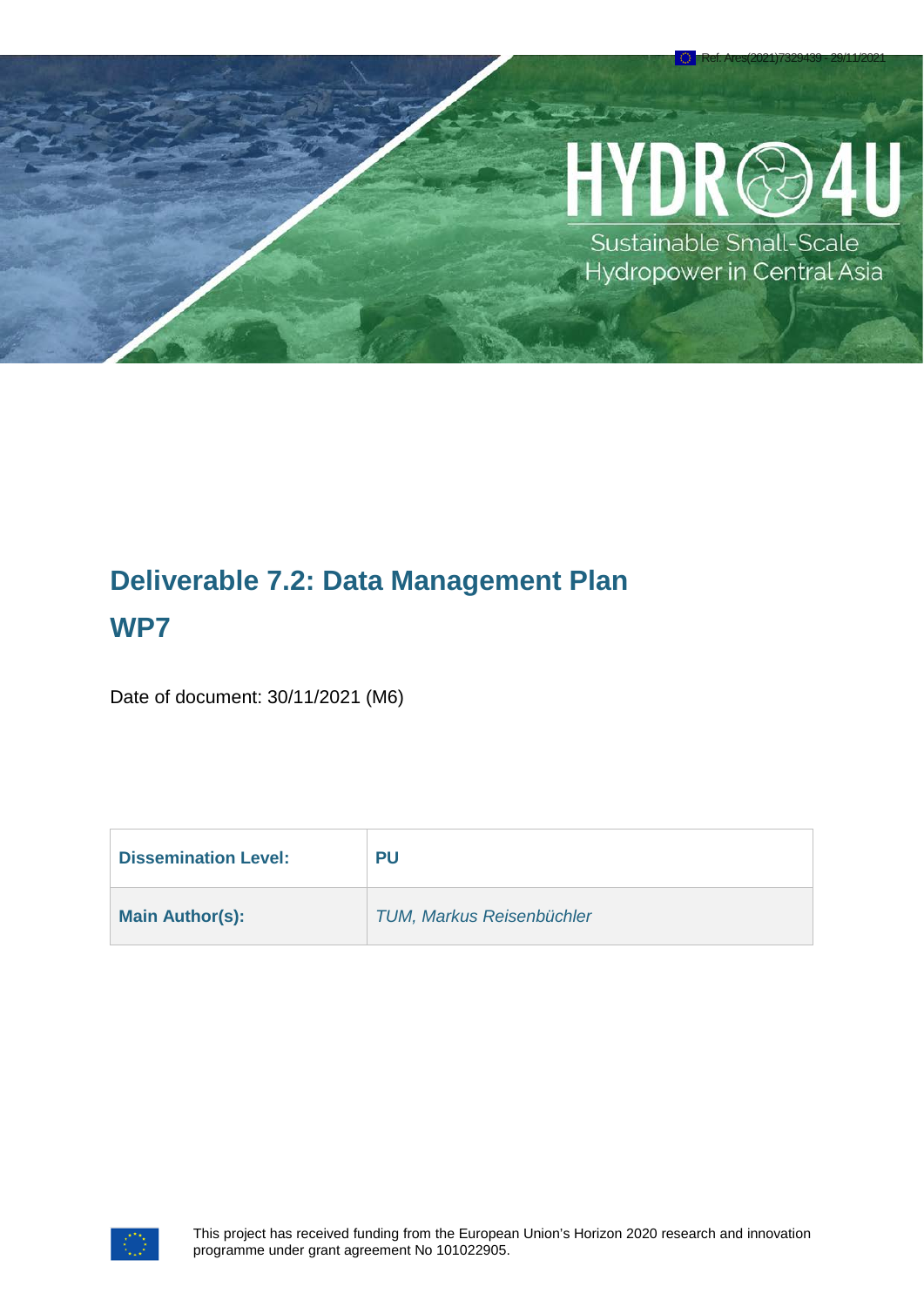# YDR@

Ref. Ares(2021)7329439 - 29/11/2021

Sustainable Small-Scale Hydropower in Central Asia

# **Deliverable 7.2: Data Management Plan WP7**

Date of document: 30/11/2021 (M6)

| <b>Dissemination Level:</b> | <b>PU</b>                        |
|-----------------------------|----------------------------------|
| <b>Main Author(s):</b>      | <b>TUM, Markus Reisenbüchler</b> |

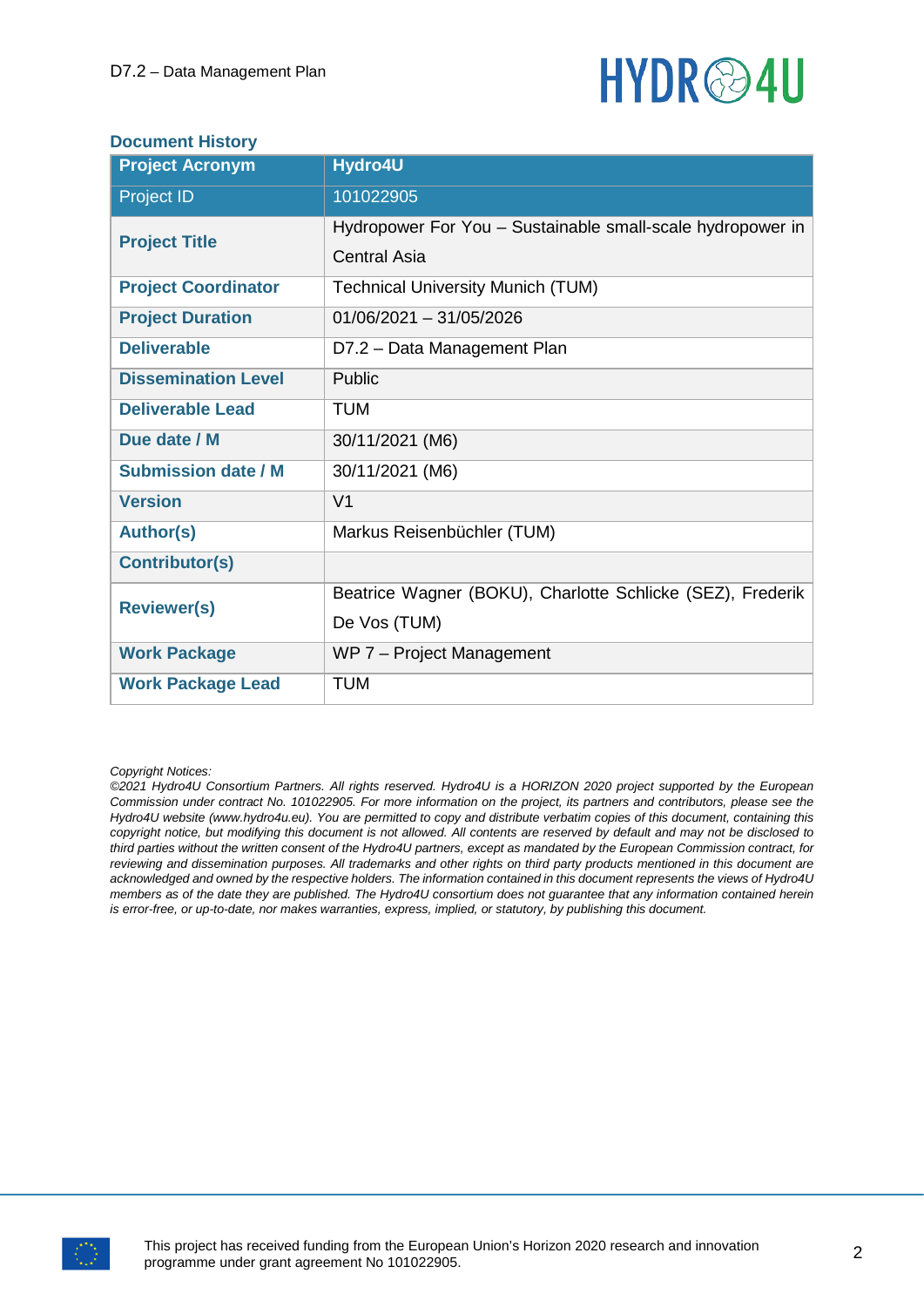

#### **Document History**

| <b>Project Acronym</b>     | Hydro4U                                                    |
|----------------------------|------------------------------------------------------------|
| <b>Project ID</b>          | 101022905                                                  |
| <b>Project Title</b>       | Hydropower For You - Sustainable small-scale hydropower in |
|                            | <b>Central Asia</b>                                        |
| <b>Project Coordinator</b> | <b>Technical University Munich (TUM)</b>                   |
| <b>Project Duration</b>    | $01/06/2021 - 31/05/2026$                                  |
| <b>Deliverable</b>         | D7.2 - Data Management Plan                                |
| <b>Dissemination Level</b> | Public                                                     |
| <b>Deliverable Lead</b>    | <b>TUM</b>                                                 |
| Due date / M               | 30/11/2021 (M6)                                            |
| <b>Submission date / M</b> | 30/11/2021 (M6)                                            |
| <b>Version</b>             | V <sub>1</sub>                                             |
| <b>Author(s)</b>           | Markus Reisenbüchler (TUM)                                 |
| <b>Contributor(s)</b>      |                                                            |
| <b>Reviewer(s)</b>         | Beatrice Wagner (BOKU), Charlotte Schlicke (SEZ), Frederik |
|                            | De Vos (TUM)                                               |
| <b>Work Package</b>        | WP 7 - Project Management                                  |
| <b>Work Package Lead</b>   | <b>TUM</b>                                                 |

#### *Copyright Notices:*

*©2021 Hydro4U Consortium Partners. All rights reserved. Hydro4U is a HORIZON 2020 project supported by the European Commission under contract No. 101022905. For more information on the project, its partners and contributors, please see the Hydro4U website (www.hydro4u.eu). You are permitted to copy and distribute verbatim copies of this document, containing this copyright notice, but modifying this document is not allowed. All contents are reserved by default and may not be disclosed to third parties without the written consent of the Hydro4U partners, except as mandated by the European Commission contract, for reviewing and dissemination purposes. All trademarks and other rights on third party products mentioned in this document are acknowledged and owned by the respective holders. The information contained in this document represents the views of Hydro4U members as of the date they are published. The Hydro4U consortium does not guarantee that any information contained herein is error-free, or up-to-date, nor makes warranties, express, implied, or statutory, by publishing this document.*

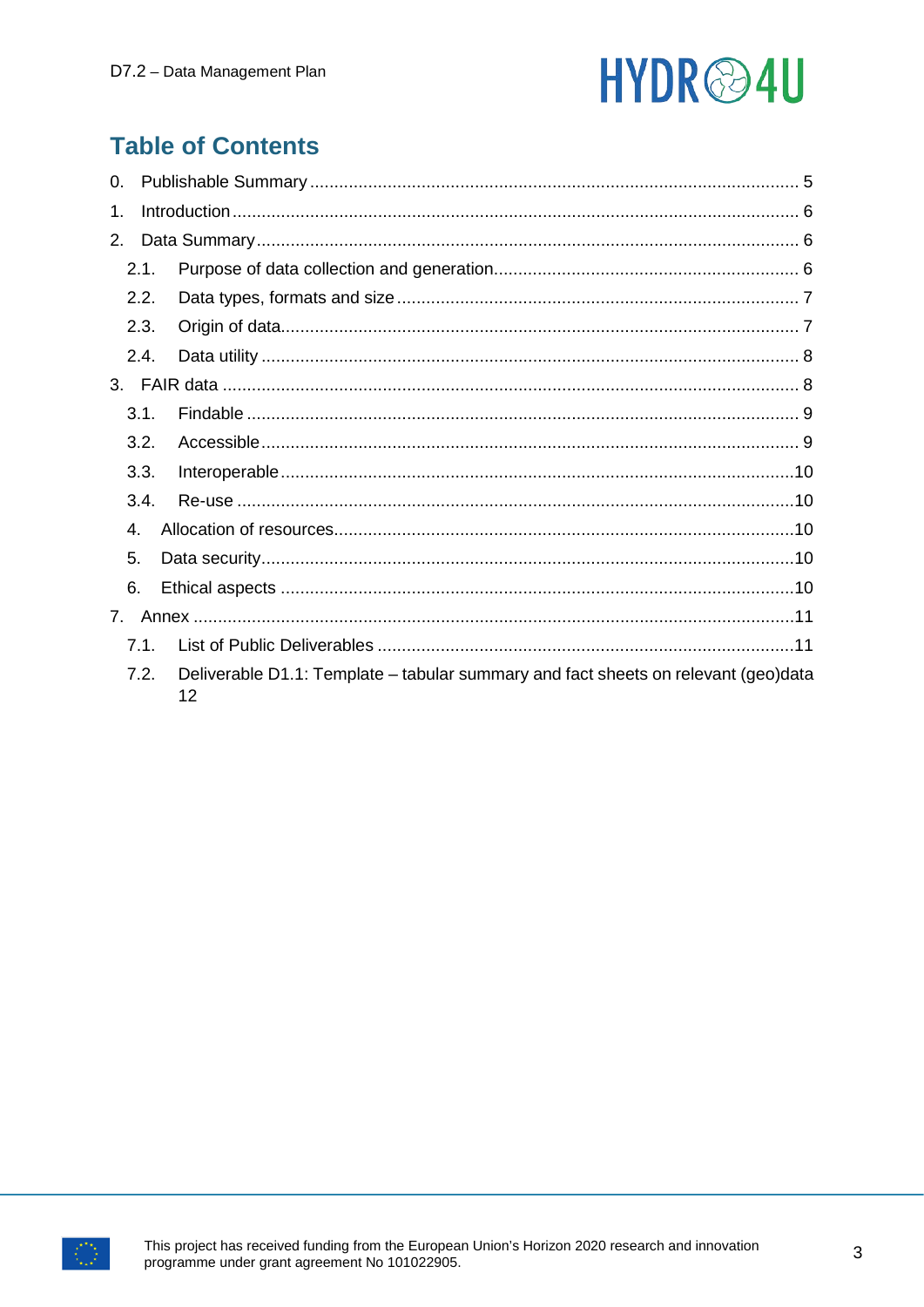# HYDR<sup>@4U</sup>

# **Table of Contents**

| 0.          |      |                                                                                          |  |
|-------------|------|------------------------------------------------------------------------------------------|--|
| 1.          |      |                                                                                          |  |
| 2.          |      |                                                                                          |  |
|             | 2.1. |                                                                                          |  |
|             | 2.2. |                                                                                          |  |
|             | 2.3. |                                                                                          |  |
|             | 2.4. |                                                                                          |  |
|             |      |                                                                                          |  |
|             | 3.1. |                                                                                          |  |
|             | 3.2. |                                                                                          |  |
|             | 3.3. |                                                                                          |  |
|             | 3.4. |                                                                                          |  |
|             | 4.   |                                                                                          |  |
| 5.          |      |                                                                                          |  |
| 6.          |      |                                                                                          |  |
| $7_{\cdot}$ |      |                                                                                          |  |
|             | 7.1. |                                                                                          |  |
|             | 7.2. | Deliverable D1.1: Template - tabular summary and fact sheets on relevant (geo)data<br>12 |  |

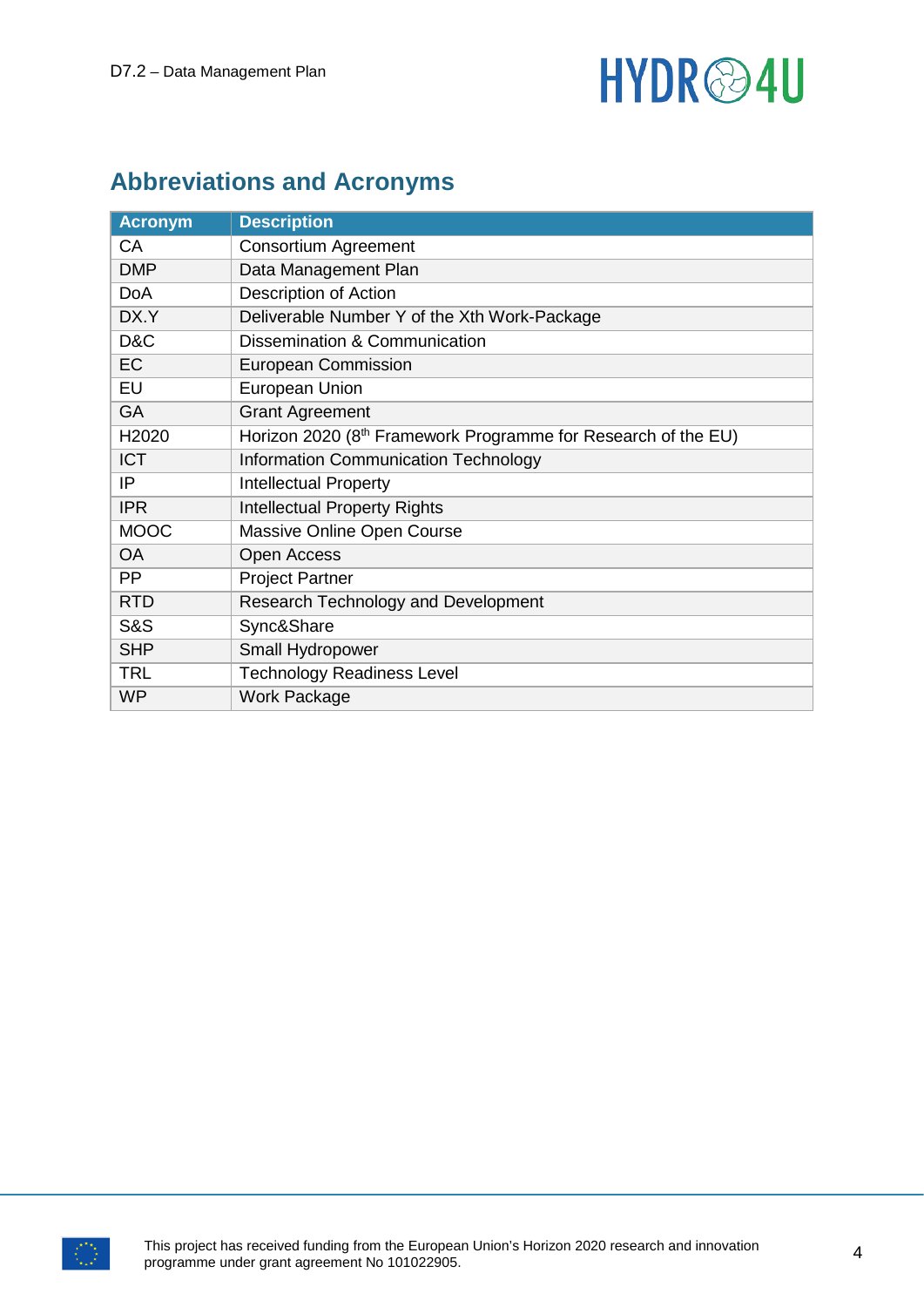# HYDR<sup>@4U</sup>

# **Abbreviations and Acronyms**

| <b>Acronym</b>    | <b>Description</b>                                            |
|-------------------|---------------------------------------------------------------|
| CA                | <b>Consortium Agreement</b>                                   |
| <b>DMP</b>        | Data Management Plan                                          |
| <b>DoA</b>        | Description of Action                                         |
| DX.Y              | Deliverable Number Y of the Xth Work-Package                  |
| D&C               | Dissemination & Communication                                 |
| EC                | <b>European Commission</b>                                    |
| EU                | European Union                                                |
| GA                | <b>Grant Agreement</b>                                        |
| H <sub>2020</sub> | Horizon 2020 (8th Framework Programme for Research of the EU) |
| <b>ICT</b>        | <b>Information Communication Technology</b>                   |
| IP                | <b>Intellectual Property</b>                                  |
| <b>IPR</b>        | <b>Intellectual Property Rights</b>                           |
| <b>MOOC</b>       | Massive Online Open Course                                    |
| <b>OA</b>         | <b>Open Access</b>                                            |
| <b>PP</b>         | <b>Project Partner</b>                                        |
| <b>RTD</b>        | Research Technology and Development                           |
| <b>S&amp;S</b>    | Sync&Share                                                    |
| <b>SHP</b>        | Small Hydropower                                              |
| <b>TRL</b>        | <b>Technology Readiness Level</b>                             |
| <b>WP</b>         | <b>Work Package</b>                                           |

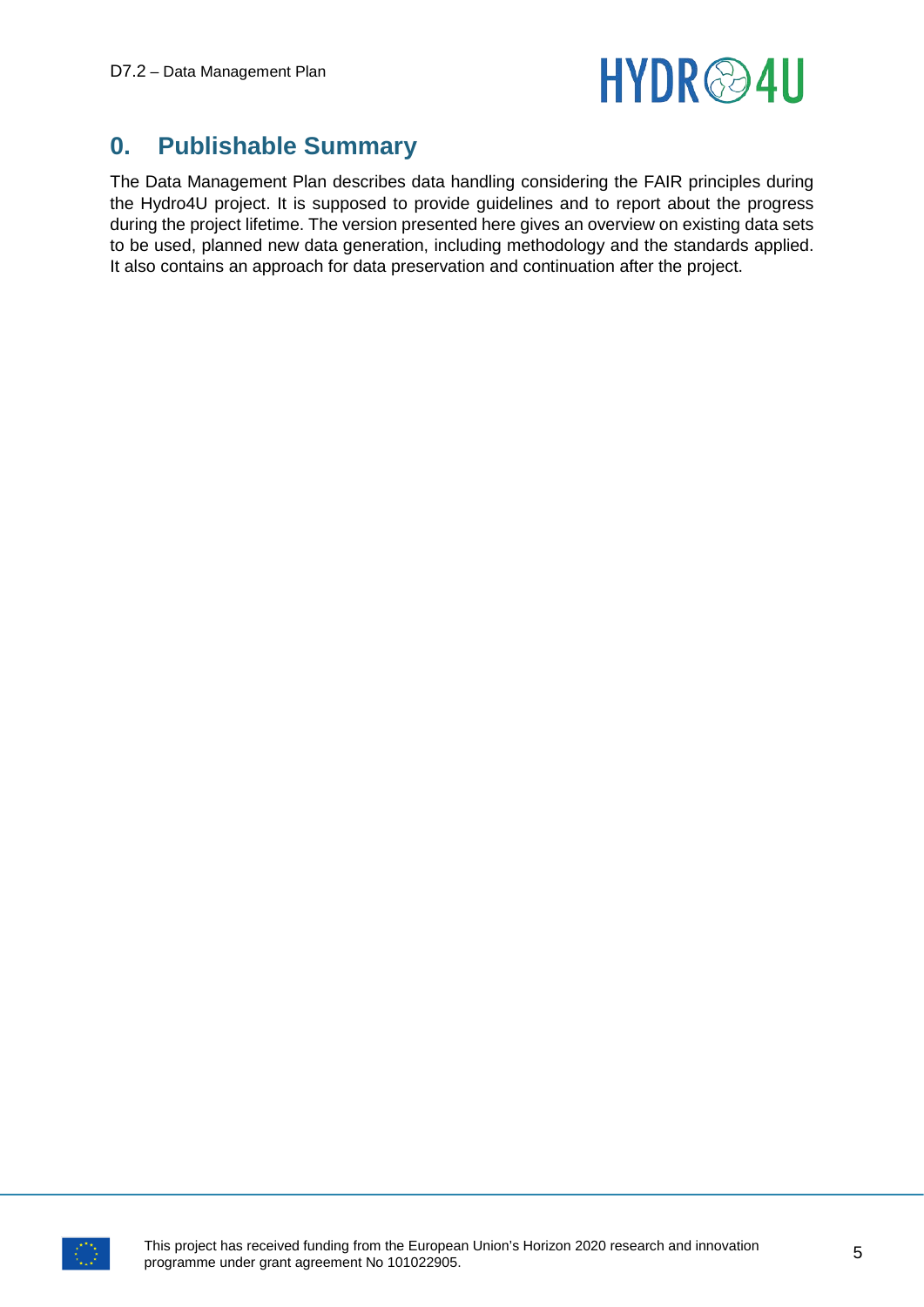

# <span id="page-4-0"></span>**0. Publishable Summary**

The Data Management Plan describes data handling considering the FAIR principles during the Hydro4U project. It is supposed to provide guidelines and to report about the progress during the project lifetime. The version presented here gives an overview on existing data sets to be used, planned new data generation, including methodology and the standards applied. It also contains an approach for data preservation and continuation after the project.

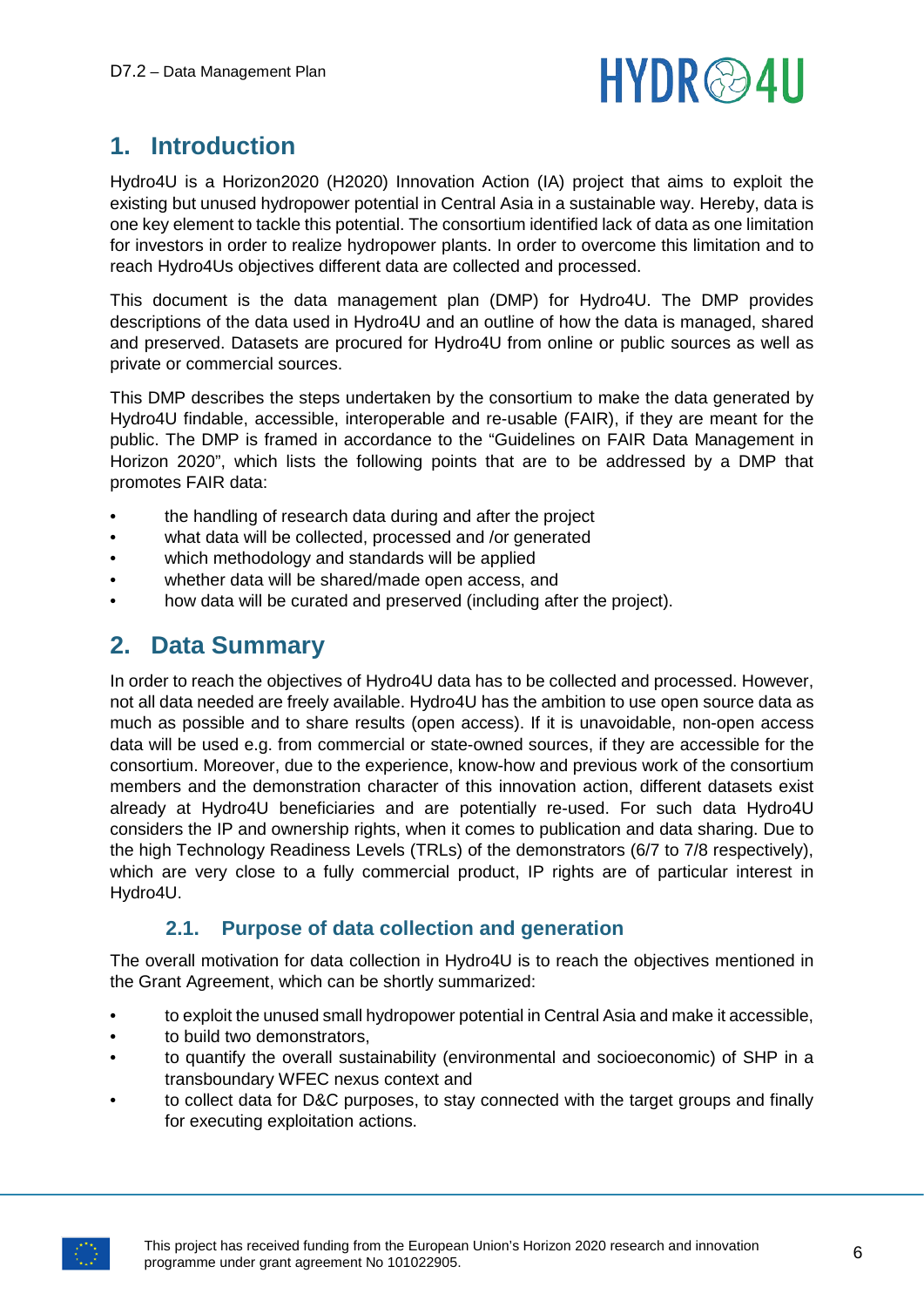

# <span id="page-5-0"></span>**1. Introduction**

Hydro4U is a Horizon2020 (H2020) Innovation Action (IA) project that aims to exploit the existing but unused hydropower potential in Central Asia in a sustainable way. Hereby, data is one key element to tackle this potential. The consortium identified lack of data as one limitation for investors in order to realize hydropower plants. In order to overcome this limitation and to reach Hydro4Us objectives different data are collected and processed.

This document is the data management plan (DMP) for Hydro4U. The DMP provides descriptions of the data used in Hydro4U and an outline of how the data is managed, shared and preserved. Datasets are procured for Hydro4U from online or public sources as well as private or commercial sources.

This DMP describes the steps undertaken by the consortium to make the data generated by Hydro4U findable, accessible, interoperable and re-usable (FAIR), if they are meant for the public. The DMP is framed in accordance to the "Guidelines on FAIR Data Management in Horizon 2020", which lists the following points that are to be addressed by a DMP that promotes FAIR data:

- the handling of research data during and after the project
- what data will be collected, processed and /or generated
- which methodology and standards will be applied
- whether data will be shared/made open access, and
- how data will be curated and preserved (including after the project).

# <span id="page-5-1"></span>**2. Data Summary**

In order to reach the objectives of Hydro4U data has to be collected and processed. However, not all data needed are freely available. Hydro4U has the ambition to use open source data as much as possible and to share results (open access). If it is unavoidable, non-open access data will be used e.g. from commercial or state-owned sources, if they are accessible for the consortium. Moreover, due to the experience, know-how and previous work of the consortium members and the demonstration character of this innovation action, different datasets exist already at Hydro4U beneficiaries and are potentially re-used. For such data Hydro4U considers the IP and ownership rights, when it comes to publication and data sharing. Due to the high Technology Readiness Levels (TRLs) of the demonstrators (6/7 to 7/8 respectively), which are very close to a fully commercial product, IP rights are of particular interest in Hydro4U.

# **2.1. Purpose of data collection and generation**

<span id="page-5-2"></span>The overall motivation for data collection in Hydro4U is to reach the objectives mentioned in the Grant Agreement, which can be shortly summarized:

- to exploit the unused small hydropower potential in Central Asia and make it accessible,
- to build two demonstrators,
- to quantify the overall sustainability (environmental and socioeconomic) of SHP in a transboundary WFEC nexus context and
- to collect data for D&C purposes, to stay connected with the target groups and finally for executing exploitation actions.

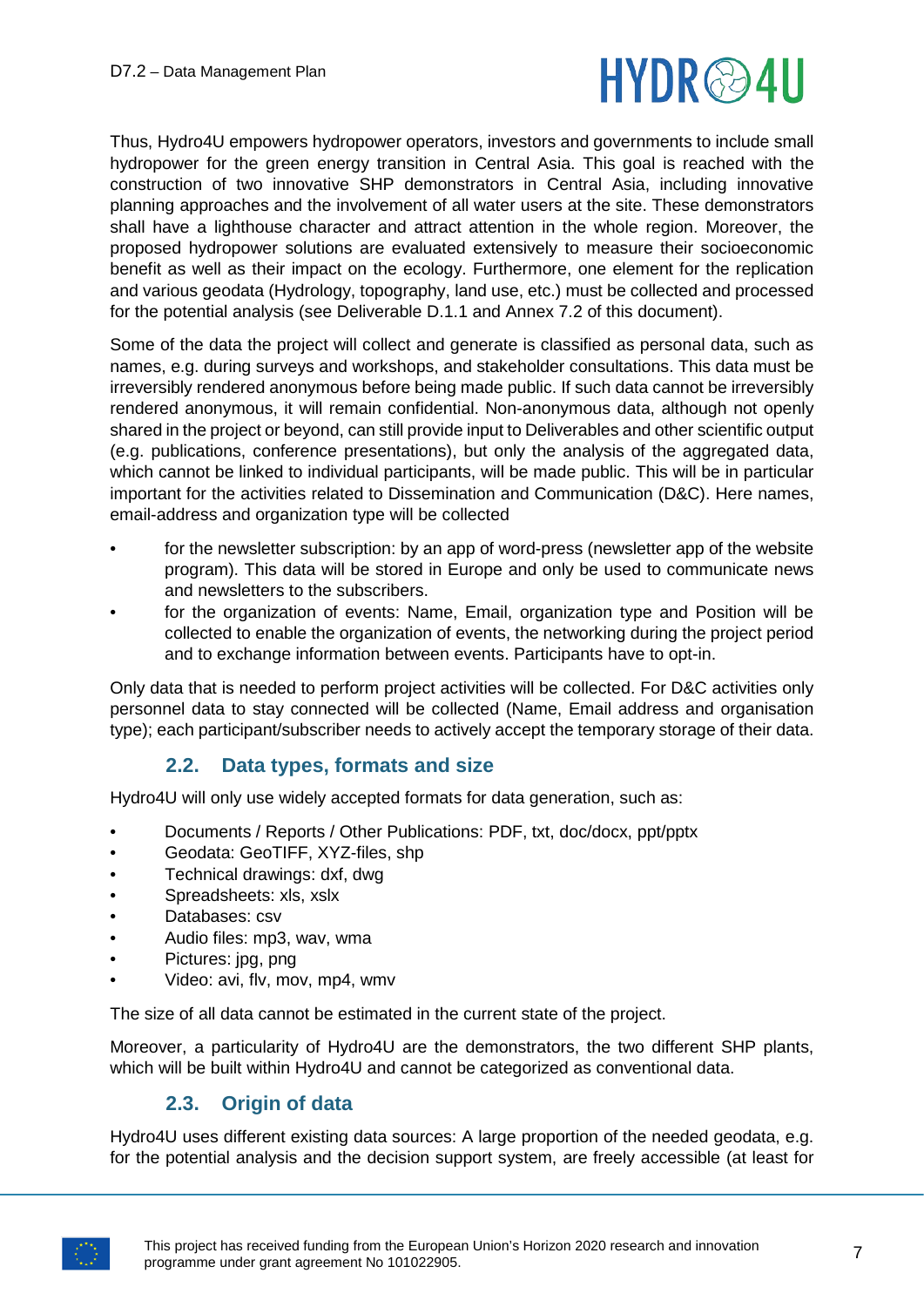

Thus, Hydro4U empowers hydropower operators, investors and governments to include small hydropower for the green energy transition in Central Asia. This goal is reached with the construction of two innovative SHP demonstrators in Central Asia, including innovative planning approaches and the involvement of all water users at the site. These demonstrators shall have a lighthouse character and attract attention in the whole region. Moreover, the proposed hydropower solutions are evaluated extensively to measure their socioeconomic benefit as well as their impact on the ecology. Furthermore, one element for the replication and various geodata (Hydrology, topography, land use, etc.) must be collected and processed for the potential analysis (see Deliverable D.1.1 and Annex 7.2 of this document).

Some of the data the project will collect and generate is classified as personal data, such as names, e.g. during surveys and workshops, and stakeholder consultations. This data must be irreversibly rendered anonymous before being made public. If such data cannot be irreversibly rendered anonymous, it will remain confidential. Non-anonymous data, although not openly shared in the project or beyond, can still provide input to Deliverables and other scientific output (e.g. publications, conference presentations), but only the analysis of the aggregated data, which cannot be linked to individual participants, will be made public. This will be in particular important for the activities related to Dissemination and Communication (D&C). Here names, email-address and organization type will be collected

- for the newsletter subscription: by an app of word-press (newsletter app of the website program). This data will be stored in Europe and only be used to communicate news and newsletters to the subscribers.
- for the organization of events: Name, Email, organization type and Position will be collected to enable the organization of events, the networking during the project period and to exchange information between events. Participants have to opt-in.

Only data that is needed to perform project activities will be collected. For D&C activities only personnel data to stay connected will be collected (Name, Email address and organisation type); each participant/subscriber needs to actively accept the temporary storage of their data.

### **2.2. Data types, formats and size**

<span id="page-6-0"></span>Hydro4U will only use widely accepted formats for data generation, such as:

- Documents / Reports / Other Publications: PDF, txt, doc/docx, ppt/pptx
- Geodata: GeoTIFF, XYZ-files, shp
- Technical drawings: dxf, dwg
- Spreadsheets: xls, xslx
- Databases: csv
- Audio files: mp3, wav, wma
- Pictures: jpg, png
- Video: avi, flv, mov, mp4, wmv

The size of all data cannot be estimated in the current state of the project.

Moreover, a particularity of Hydro4U are the demonstrators, the two different SHP plants, which will be built within Hydro4U and cannot be categorized as conventional data.

# **2.3. Origin of data**

<span id="page-6-1"></span>Hydro4U uses different existing data sources: A large proportion of the needed geodata, e.g. for the potential analysis and the decision support system, are freely accessible (at least for

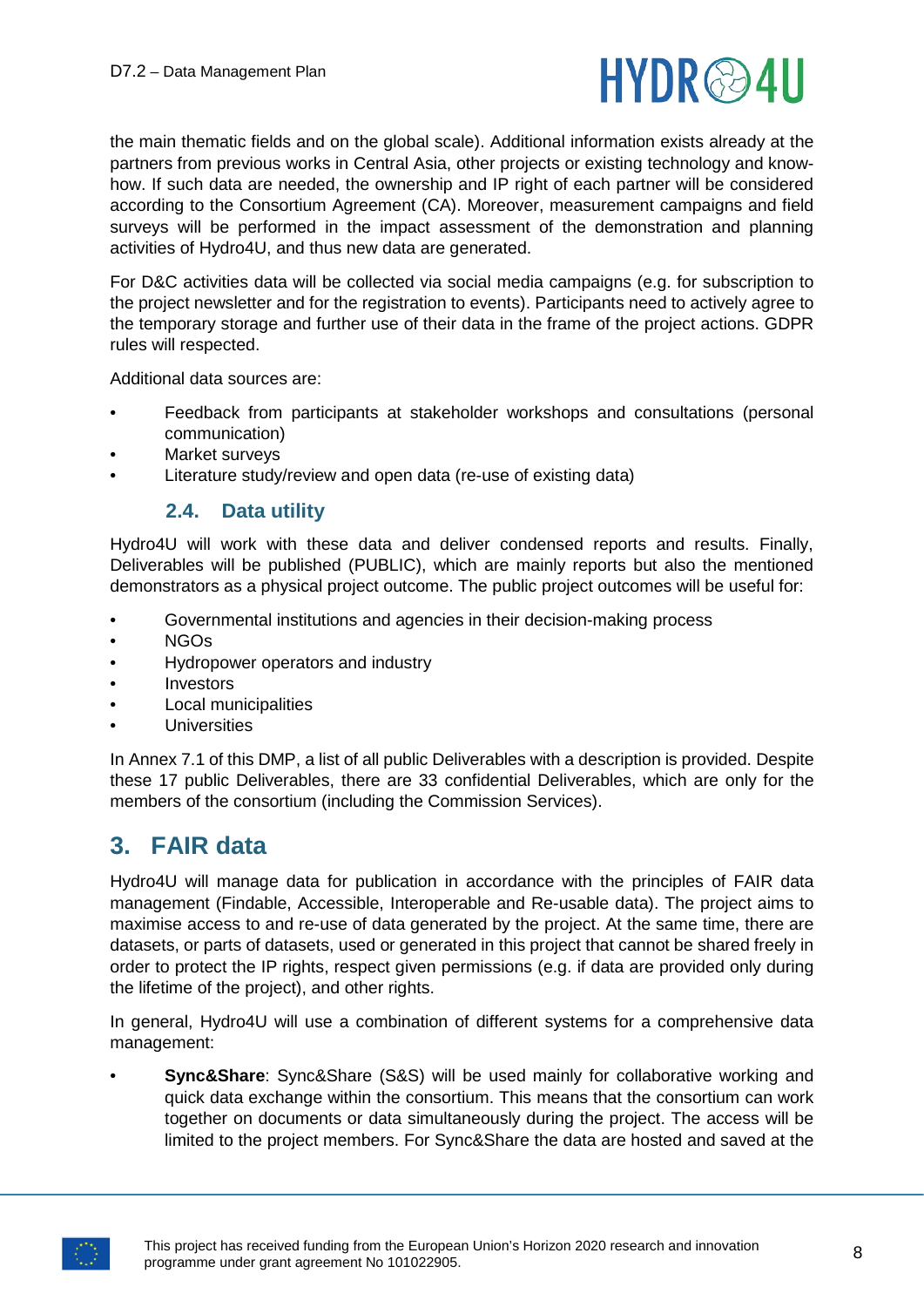

the main thematic fields and on the global scale). Additional information exists already at the partners from previous works in Central Asia, other projects or existing technology and knowhow. If such data are needed, the ownership and IP right of each partner will be considered according to the Consortium Agreement (CA). Moreover, measurement campaigns and field surveys will be performed in the impact assessment of the demonstration and planning activities of Hydro4U, and thus new data are generated.

For D&C activities data will be collected via social media campaigns (e.g. for subscription to the project newsletter and for the registration to events). Participants need to actively agree to the temporary storage and further use of their data in the frame of the project actions. GDPR rules will respected.

Additional data sources are:

- Feedback from participants at stakeholder workshops and consultations (personal communication)
- Market surveys
- <span id="page-7-0"></span>Literature study/review and open data (re-use of existing data)

### **2.4. Data utility**

Hydro4U will work with these data and deliver condensed reports and results. Finally, Deliverables will be published (PUBLIC), which are mainly reports but also the mentioned demonstrators as a physical project outcome. The public project outcomes will be useful for:

- Governmental institutions and agencies in their decision-making process
- NGOs
- Hydropower operators and industry
- Investors
- Local municipalities
- Universities

In Annex 7.1 of this DMP, a list of all public Deliverables with a description is provided. Despite these 17 public Deliverables, there are 33 confidential Deliverables, which are only for the members of the consortium (including the Commission Services).

# <span id="page-7-1"></span>**3. FAIR data**

Hydro4U will manage data for publication in accordance with the principles of FAIR data management (Findable, Accessible, Interoperable and Re-usable data). The project aims to maximise access to and re-use of data generated by the project. At the same time, there are datasets, or parts of datasets, used or generated in this project that cannot be shared freely in order to protect the IP rights, respect given permissions (e.g. if data are provided only during the lifetime of the project), and other rights.

In general, Hydro4U will use a combination of different systems for a comprehensive data management:

• **Sync&Share**: Sync&Share (S&S) will be used mainly for collaborative working and quick data exchange within the consortium. This means that the consortium can work together on documents or data simultaneously during the project. The access will be limited to the project members. For Sync&Share the data are hosted and saved at the

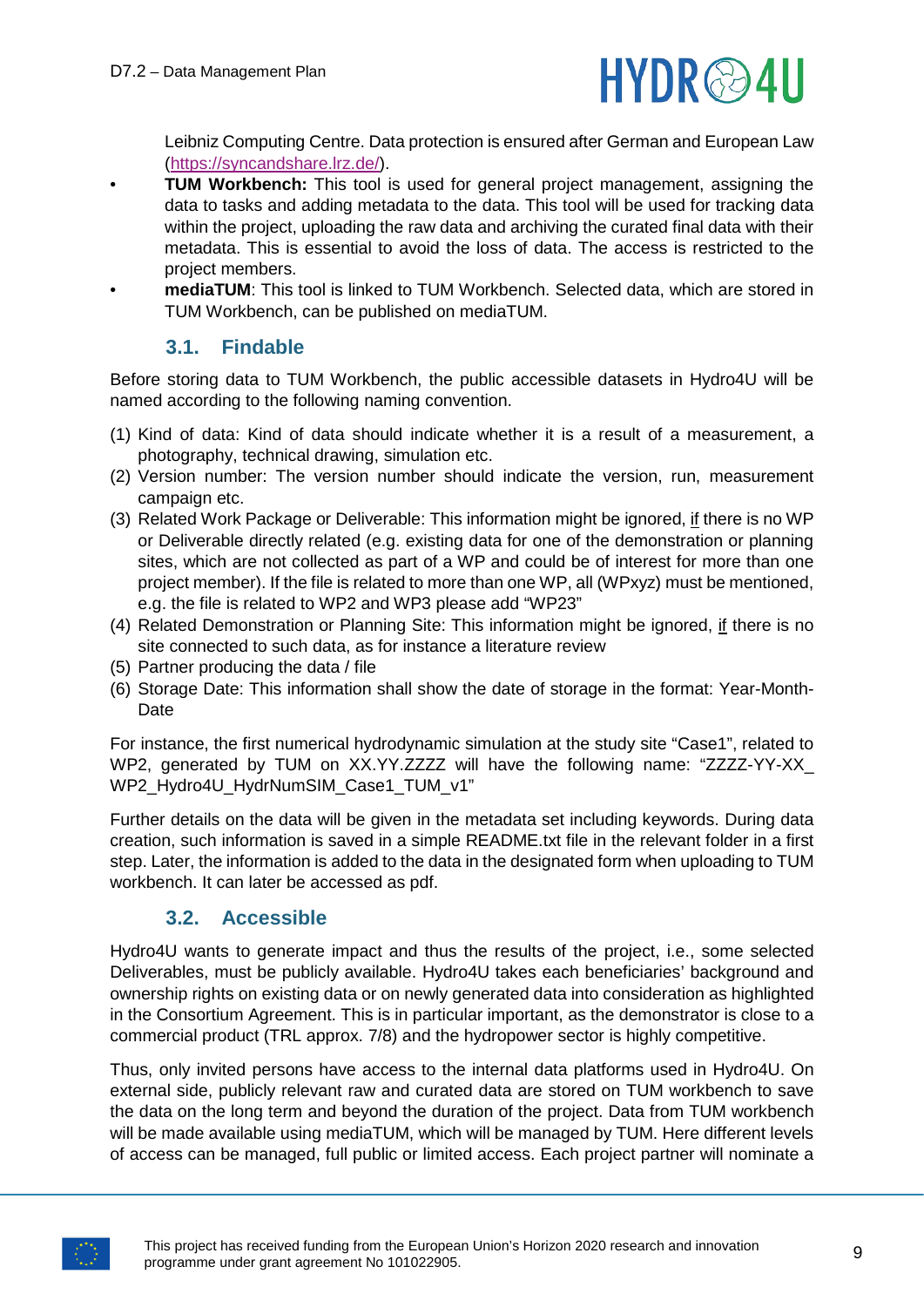

Leibniz Computing Centre. Data protection is ensured after German and European Law [\(https://syncandshare.lrz.de/\)](https://syncandshare.lrz.de/).

- **TUM Workbench:** This tool is used for general project management, assigning the data to tasks and adding metadata to the data. This tool will be used for tracking data within the project, uploading the raw data and archiving the curated final data with their metadata. This is essential to avoid the loss of data. The access is restricted to the project members.
- **mediaTUM**: This tool is linked to TUM Workbench. Selected data, which are stored in TUM Workbench, can be published on mediaTUM.

# **3.1. Findable**

<span id="page-8-0"></span>Before storing data to TUM Workbench, the public accessible datasets in Hydro4U will be named according to the following naming convention.

- (1) Kind of data: Kind of data should indicate whether it is a result of a measurement, a photography, technical drawing, simulation etc.
- (2) Version number: The version number should indicate the version, run, measurement campaign etc.
- (3) Related Work Package or Deliverable: This information might be ignored, if there is no WP or Deliverable directly related (e.g. existing data for one of the demonstration or planning sites, which are not collected as part of a WP and could be of interest for more than one project member). If the file is related to more than one WP, all (WPxyz) must be mentioned, e.g. the file is related to WP2 and WP3 please add "WP23"
- (4) Related Demonstration or Planning Site: This information might be ignored, if there is no site connected to such data, as for instance a literature review
- (5) Partner producing the data / file
- (6) Storage Date: This information shall show the date of storage in the format: Year-Month-Date

For instance, the first numerical hydrodynamic simulation at the study site "Case1", related to WP2, generated by TUM on XX.YY.ZZZZ will have the following name: "ZZZZ-YY-XX\_ WP2\_Hydro4U\_HydrNumSIM\_Case1\_TUM\_v1"

Further details on the data will be given in the metadata set including keywords. During data creation, such information is saved in a simple README.txt file in the relevant folder in a first step. Later, the information is added to the data in the designated form when uploading to TUM workbench. It can later be accessed as pdf.

### **3.2. Accessible**

<span id="page-8-1"></span>Hydro4U wants to generate impact and thus the results of the project, i.e., some selected Deliverables, must be publicly available. Hydro4U takes each beneficiaries' background and ownership rights on existing data or on newly generated data into consideration as highlighted in the Consortium Agreement. This is in particular important, as the demonstrator is close to a commercial product (TRL approx. 7/8) and the hydropower sector is highly competitive.

Thus, only invited persons have access to the internal data platforms used in Hydro4U. On external side, publicly relevant raw and curated data are stored on TUM workbench to save the data on the long term and beyond the duration of the project. Data from TUM workbench will be made available using mediaTUM, which will be managed by TUM. Here different levels of access can be managed, full public or limited access. Each project partner will nominate a

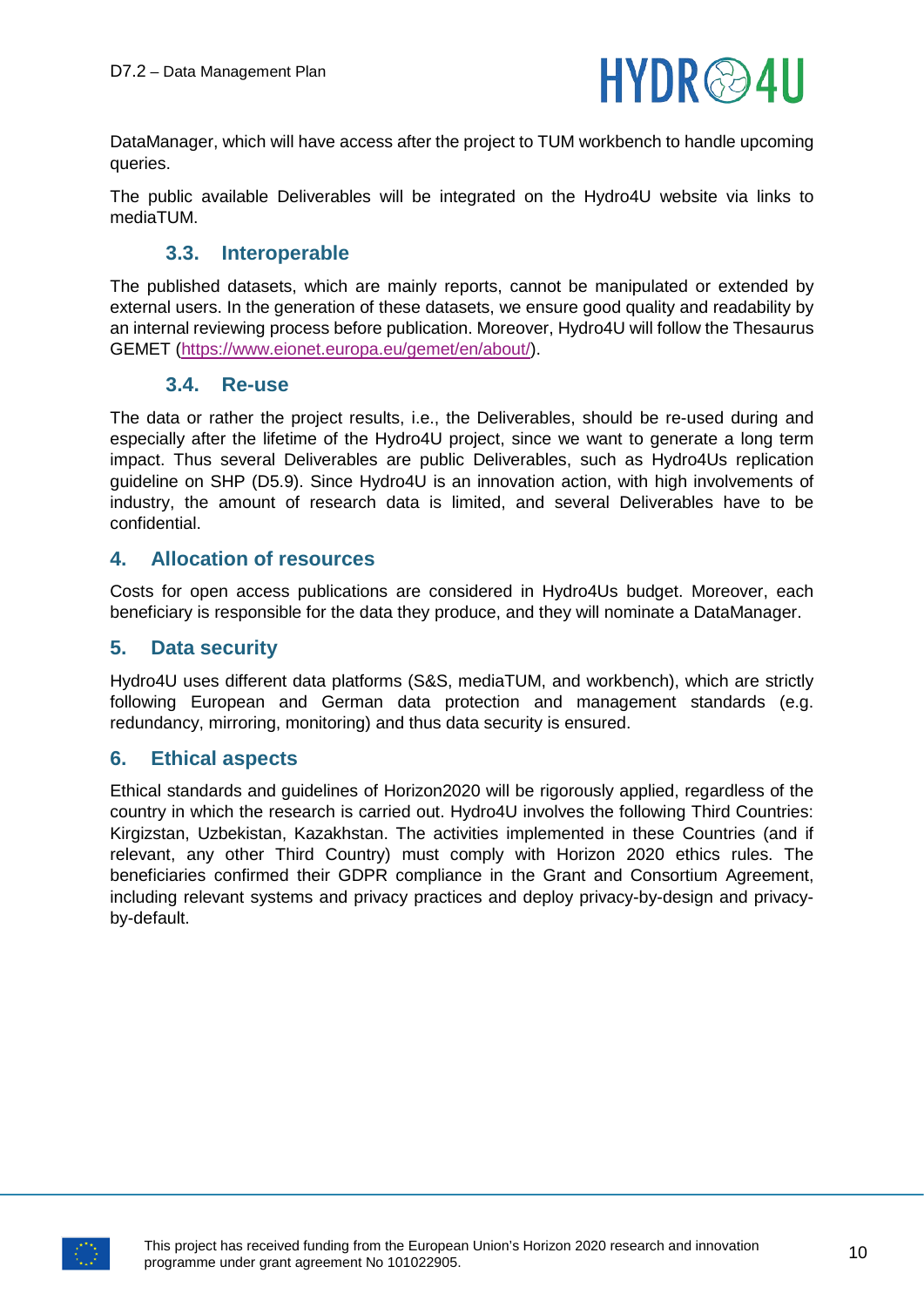

DataManager, which will have access after the project to TUM workbench to handle upcoming queries.

The public available Deliverables will be integrated on the Hydro4U website via links to mediaTUM.

#### **3.3. Interoperable**

<span id="page-9-0"></span>The published datasets, which are mainly reports, cannot be manipulated or extended by external users. In the generation of these datasets, we ensure good quality and readability by an internal reviewing process before publication. Moreover, Hydro4U will follow the Thesaurus GEMET [\(https://www.eionet.europa.eu/gemet/en/about/\)](https://www.eionet.europa.eu/gemet/en/about/).

#### **3.4. Re-use**

<span id="page-9-1"></span>The data or rather the project results, i.e., the Deliverables, should be re-used during and especially after the lifetime of the Hydro4U project, since we want to generate a long term impact. Thus several Deliverables are public Deliverables, such as Hydro4Us replication guideline on SHP (D5.9). Since Hydro4U is an innovation action, with high involvements of industry, the amount of research data is limited, and several Deliverables have to be confidential.

#### <span id="page-9-2"></span>**4. Allocation of resources**

Costs for open access publications are considered in Hydro4Us budget. Moreover, each beneficiary is responsible for the data they produce, and they will nominate a DataManager.

#### <span id="page-9-3"></span>**5. Data security**

Hydro4U uses different data platforms (S&S, mediaTUM, and workbench), which are strictly following European and German data protection and management standards (e.g. redundancy, mirroring, monitoring) and thus data security is ensured.

#### <span id="page-9-4"></span>**6. Ethical aspects**

Ethical standards and guidelines of Horizon2020 will be rigorously applied, regardless of the country in which the research is carried out. Hydro4U involves the following Third Countries: Kirgizstan, Uzbekistan, Kazakhstan. The activities implemented in these Countries (and if relevant, any other Third Country) must comply with Horizon 2020 ethics rules. The beneficiaries confirmed their GDPR compliance in the Grant and Consortium Agreement, including relevant systems and privacy practices and deploy privacy-by-design and privacyby-default.

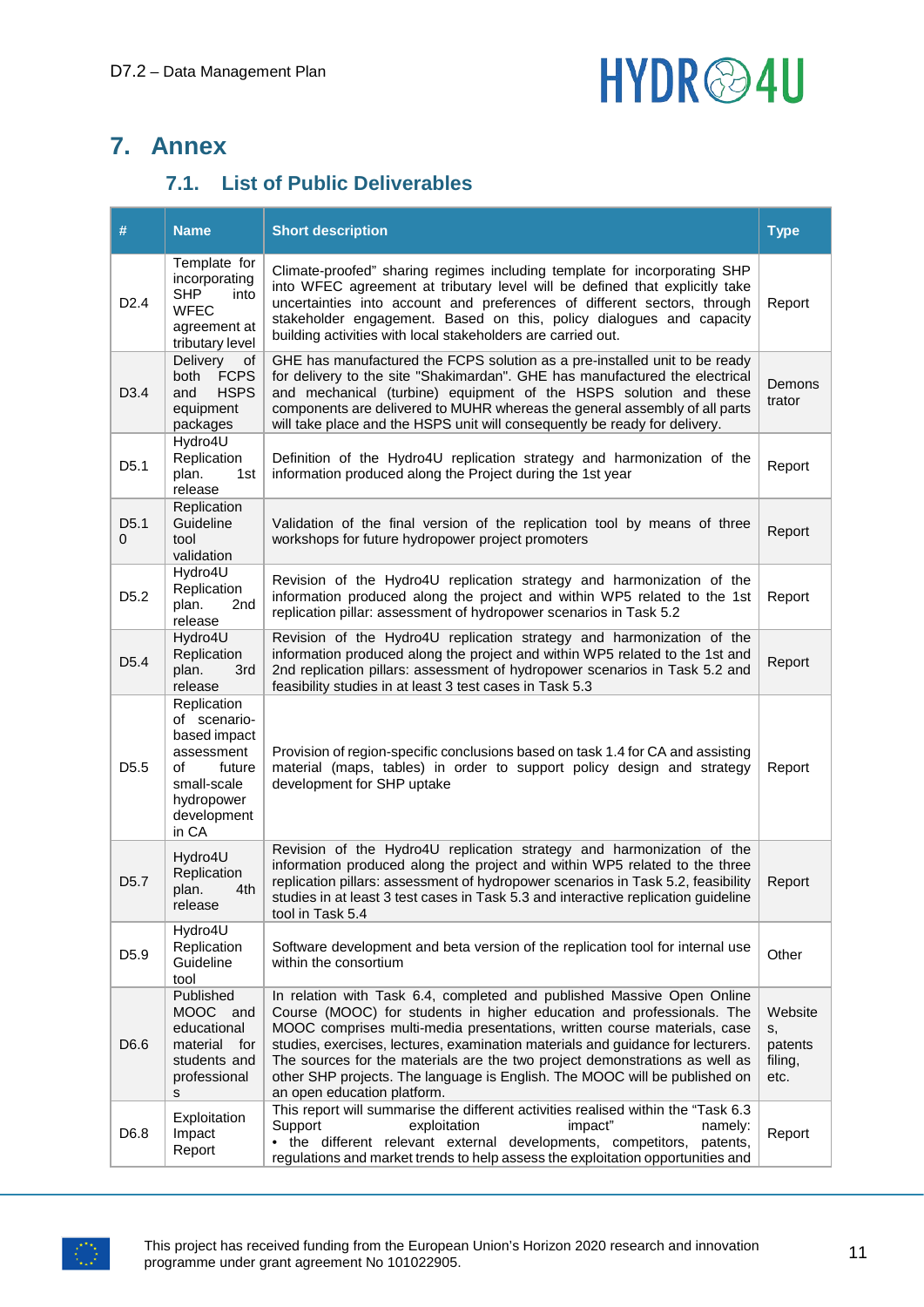# HYDR<sup>@4U</sup>

# <span id="page-10-0"></span>**7. Annex**

# **7.1. List of Public Deliverables**

<span id="page-10-1"></span>

| #                     | <b>Name</b>                                                                                                                    | <b>Short description</b>                                                                                                                                                                                                                                                                                                                                                                                                                                                                                   | <b>Type</b>                                 |
|-----------------------|--------------------------------------------------------------------------------------------------------------------------------|------------------------------------------------------------------------------------------------------------------------------------------------------------------------------------------------------------------------------------------------------------------------------------------------------------------------------------------------------------------------------------------------------------------------------------------------------------------------------------------------------------|---------------------------------------------|
| D2.4                  | Template for<br>incorporating<br><b>SHP</b><br>into<br><b>WFEC</b><br>agreement at<br>tributary level                          | Climate-proofed" sharing regimes including template for incorporating SHP<br>into WFEC agreement at tributary level will be defined that explicitly take<br>uncertainties into account and preferences of different sectors, through<br>stakeholder engagement. Based on this, policy dialogues and capacity<br>building activities with local stakeholders are carried out.                                                                                                                               | Report                                      |
| D <sub>3.4</sub>      | <b>Delivery</b><br>οf<br><b>FCPS</b><br>both<br><b>HSPS</b><br>and<br>equipment<br>packages                                    | GHE has manufactured the FCPS solution as a pre-installed unit to be ready<br>for delivery to the site "Shakimardan". GHE has manufactured the electrical<br>and mechanical (turbine) equipment of the HSPS solution and these<br>components are delivered to MUHR whereas the general assembly of all parts<br>will take place and the HSPS unit will consequently be ready for delivery.                                                                                                                 | Demons<br>trator                            |
| D <sub>5.1</sub>      | Hydro4U<br>Replication<br>plan.<br>1st<br>release                                                                              | Definition of the Hydro4U replication strategy and harmonization of the<br>information produced along the Project during the 1st year                                                                                                                                                                                                                                                                                                                                                                      | Report                                      |
| D <sub>5.1</sub><br>0 | Replication<br>Guideline<br>tool<br>validation                                                                                 | Validation of the final version of the replication tool by means of three<br>workshops for future hydropower project promoters                                                                                                                                                                                                                                                                                                                                                                             | Report                                      |
| D <sub>5.2</sub>      | Hydro4U<br>Replication<br>2nd<br>plan.<br>release                                                                              | Revision of the Hydro4U replication strategy and harmonization of the<br>information produced along the project and within WP5 related to the 1st<br>replication pillar: assessment of hydropower scenarios in Task 5.2                                                                                                                                                                                                                                                                                    | Report                                      |
| D <sub>5.4</sub>      | Hydro4U<br>Replication<br>3rd<br>plan.<br>release                                                                              | Revision of the Hydro4U replication strategy and harmonization of the<br>information produced along the project and within WP5 related to the 1st and<br>2nd replication pillars: assessment of hydropower scenarios in Task 5.2 and<br>feasibility studies in at least 3 test cases in Task 5.3                                                                                                                                                                                                           | Report                                      |
| D <sub>5.5</sub>      | Replication<br>of scenario-<br>based impact<br>assessment<br>of<br>future<br>small-scale<br>hydropower<br>development<br>in CA | Provision of region-specific conclusions based on task 1.4 for CA and assisting<br>material (maps, tables) in order to support policy design and strategy<br>development for SHP uptake                                                                                                                                                                                                                                                                                                                    | Report                                      |
| D <sub>5.7</sub>      | Hydro4U<br>Replication<br>plan.<br>4th<br>release                                                                              | Revision of the Hydro4U replication strategy and harmonization of the<br>information produced along the project and within WP5 related to the three<br>replication pillars: assessment of hydropower scenarios in Task 5.2, feasibility<br>studies in at least 3 test cases in Task 5.3 and interactive replication guideline<br>tool in Task 5.4                                                                                                                                                          | Report                                      |
| D <sub>5.9</sub>      | Hydro4U<br>Replication<br>Guideline<br>tool                                                                                    | Software development and beta version of the replication tool for internal use<br>within the consortium                                                                                                                                                                                                                                                                                                                                                                                                    | Other                                       |
| D6.6                  | Published<br>MOOC and<br>educational<br>material for<br>students and<br>professional<br>s                                      | In relation with Task 6.4, completed and published Massive Open Online<br>Course (MOOC) for students in higher education and professionals. The<br>MOOC comprises multi-media presentations, written course materials, case<br>studies, exercises, lectures, examination materials and guidance for lecturers.<br>The sources for the materials are the two project demonstrations as well as<br>other SHP projects. The language is English. The MOOC will be published on<br>an open education platform. | Website<br>s,<br>patents<br>filing,<br>etc. |
| D <sub>6.8</sub>      | Exploitation<br>Impact<br>Report                                                                                               | This report will summarise the different activities realised within the "Task 6.3<br>impact"<br>Support<br>exploitation<br>namely:<br>• the different relevant external developments, competitors,<br>patents,<br>regulations and market trends to help assess the exploitation opportunities and                                                                                                                                                                                                          | Report                                      |